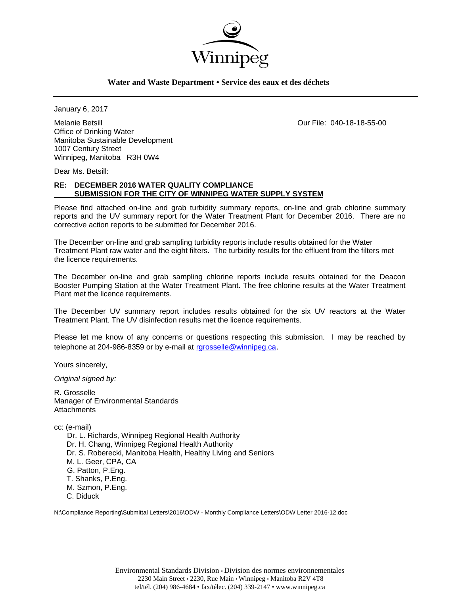

## **Water and Waste Department • Service des eaux et des déchets**

January 6, 2017

Melanie Betsill Our File: 040-18-18-55-00 Office of Drinking Water Manitoba Sustainable Development 1007 Century Street Winnipeg, Manitoba R3H 0W4

Dear Ms. Betsill:

## **RE: DECEMBER 2016 WATER QUALITY COMPLIANCE SUBMISSION FOR THE CITY OF WINNIPEG WATER SUPPLY SYSTEM**

Please find attached on-line and grab turbidity summary reports, on-line and grab chlorine summary reports and the UV summary report for the Water Treatment Plant for December 2016. There are no corrective action reports to be submitted for December 2016.

The December on-line and grab sampling turbidity reports include results obtained for the Water Treatment Plant raw water and the eight filters. The turbidity results for the effluent from the filters met the licence requirements.

The December on-line and grab sampling chlorine reports include results obtained for the Deacon Booster Pumping Station at the Water Treatment Plant. The free chlorine results at the Water Treatment Plant met the licence requirements.

The December UV summary report includes results obtained for the six UV reactors at the Water Treatment Plant. The UV disinfection results met the licence requirements.

Please let me know of any concerns or questions respecting this submission. I may be reached by telephone at 204-986-8359 or by e-mail at rgrosselle@winnipeg.ca.

Yours sincerely,

*Original signed by:* 

R. Grosselle Manager of Environmental Standards **Attachments** 

cc: (e-mail)

 Dr. L. Richards, Winnipeg Regional Health Authority Dr. H. Chang, Winnipeg Regional Health Authority Dr. S. Roberecki, Manitoba Health, Healthy Living and Seniors M. L. Geer, CPA, CA G. Patton, P.Eng. T. Shanks, P.Eng. M. Szmon, P.Eng. C. Diduck

N:\Compliance Reporting\Submittal Letters\2016\ODW - Monthly Compliance Letters\ODW Letter 2016-12.doc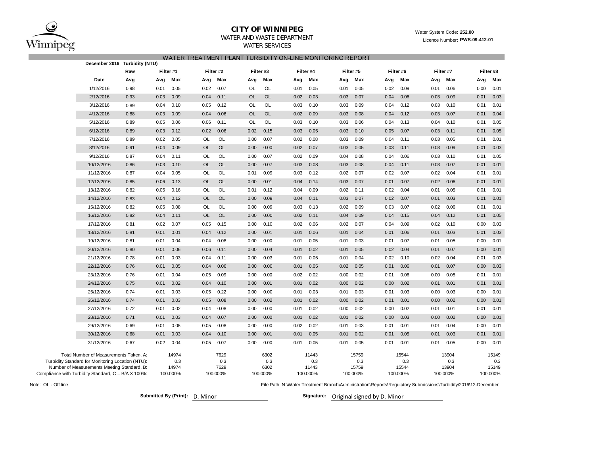

# **CITY OF WINNIPEG**

## WATER AND WASTE DEPARTMENT

WATER SERVICES

#### Water System Code: **252.00** Licence Number: **PWS-09-412-01**

|  |  |  |  | WATER TREATMENT PLANT TURBIDITY ON-LINE MONITORING REPORT |  |
|--|--|--|--|-----------------------------------------------------------|--|
|--|--|--|--|-----------------------------------------------------------|--|

|                                                                                                                                                                                                   | December 2016 Turbidity (NTU) |           |                       |                                 |           |                                 |      |                                   |      |                                   |           |                                   |      |                                   |      |                                   |
|---------------------------------------------------------------------------------------------------------------------------------------------------------------------------------------------------|-------------------------------|-----------|-----------------------|---------------------------------|-----------|---------------------------------|------|-----------------------------------|------|-----------------------------------|-----------|-----------------------------------|------|-----------------------------------|------|-----------------------------------|
|                                                                                                                                                                                                   | Raw                           | Filter #1 |                       | Filter #2                       | Filter #3 |                                 |      | Filter #4                         |      | Filter #5                         | Filter #6 |                                   |      | Filter #7                         |      | Filter #8                         |
| Date                                                                                                                                                                                              | Avg                           | Avg       | Max<br>Avg            | Max                             | Avg       | Max                             | Avg  | Max                               | Avg  | Max                               | Avg       | Max                               | Avg  | Max                               | Avg  | Max                               |
| 1/12/2016                                                                                                                                                                                         | 0.98                          | 0.01      | 0.05<br>0.02          | 0.07                            | OL        | OL                              | 0.01 | 0.05                              | 0.01 | 0.05                              | 0.02      | 0.09                              | 0.01 | 0.06                              | 0.00 | 0.01                              |
| 2/12/2016                                                                                                                                                                                         | 0.93                          | 0.03      | 0.09<br>0.04          | 0.11                            | <b>OL</b> | <b>OL</b>                       | 0.02 | 0.03                              | 0.03 | 0.07                              | 0.04      | 0.06                              | 0.03 | 0.09                              | 0.01 | 0.03                              |
| 3/12/2016                                                                                                                                                                                         | 0.89                          | 0.04      | 0.10<br>0.05          | 0.12                            | OL        | OL                              | 0.03 | 0.10                              | 0.03 | 0.09                              | 0.04      | 0.12                              | 0.03 | 0.10                              | 0.01 | 0.01                              |
| 4/12/2016                                                                                                                                                                                         | 0.88                          | 0.03      | 0.09<br>0.04          | 0.06                            | OL        | <b>OL</b>                       | 0.02 | 0.09                              | 0.03 | 0.08                              | 0.04      | 0.12                              | 0.03 | 0.07                              | 0.01 | 0.04                              |
| 5/12/2016                                                                                                                                                                                         | 0.89                          | 0.05      | 0.06<br>0.06          | 0.11                            | OL        | OL                              | 0.03 | 0.10                              | 0.03 | 0.06                              | 0.04      | 0.13                              | 0.04 | 0.10                              | 0.01 | 0.05                              |
| 6/12/2016                                                                                                                                                                                         | 0.89                          | 0.03      | 0.12<br>0.02          | 0.06                            | 0.02      | 0.15                            | 0.03 | 0.05                              | 0.03 | 0.10                              | 0.05      | 0.07                              | 0.03 | 0.11                              | 0.01 | 0.05                              |
| 7/12/2016                                                                                                                                                                                         | 0.89                          | 0.02      | 0.05<br><b>OL</b>     | OL                              | 0.00      | 0.07                            | 0.02 | 0.08                              | 0.03 | 0.09                              | 0.04      | 0.11                              | 0.03 | 0.05                              | 0.01 | 0.01                              |
| 8/12/2016                                                                                                                                                                                         | 0.91                          | 0.04      | 0.09<br><b>OL</b>     | <b>OL</b>                       | 0.00      | 0.00                            | 0.02 | 0.07                              | 0.03 | 0.05                              | 0.03      | 0.11                              | 0.03 | 0.09                              | 0.01 | 0.03                              |
| 9/12/2016                                                                                                                                                                                         | 0.87                          | 0.04      | 0.11<br>OL            | OL                              | 0.00      | 0.07                            | 0.02 | 0.09                              | 0.04 | 0.08                              | 0.04      | 0.06                              | 0.03 | 0.10                              | 0.01 | 0.05                              |
| 10/12/2016                                                                                                                                                                                        | 0.86                          | 0.03      | 0.10<br><b>OL</b>     | <b>OL</b>                       | 0.00      | 0.07                            | 0.03 | 0.08                              | 0.03 | 0.08                              | 0.04      | 0.11                              | 0.03 | 0.07                              | 0.01 | 0.01                              |
| 11/12/2016                                                                                                                                                                                        | 0.87                          | 0.04      | 0.05<br>OL            | OL                              | 0.01      | 0.09                            | 0.03 | 0.12                              | 0.02 | 0.07                              | 0.02      | 0.07                              | 0.02 | 0.04                              | 0.01 | 0.01                              |
| 12/12/2016                                                                                                                                                                                        | 0.85                          | 0.06      | 0.13<br><b>OL</b>     | OL                              | 0.00      | 0.01                            | 0.04 | 0.14                              | 0.03 | 0.07                              | 0.01      | 0.07                              | 0.02 | 0.06                              | 0.01 | 0.01                              |
| 13/12/2016                                                                                                                                                                                        | 0.82                          | 0.05      | 0.16<br><b>OL</b>     | OL                              | 0.01      | 0.12                            | 0.04 | 0.09                              | 0.02 | 0.11                              | 0.02      | 0.04                              | 0.01 | 0.05                              | 0.01 | 0.01                              |
| 14/12/2016                                                                                                                                                                                        | 0.83                          | 0.04      | <b>OL</b><br>0.12     | <b>OL</b>                       | 0.00      | 0.09                            | 0.04 | 0.11                              | 0.03 | 0.07                              | 0.02      | 0.07                              | 0.01 | 0.03                              | 0.01 | 0.01                              |
| 15/12/2016                                                                                                                                                                                        | 0.82                          | 0.05      | 0.08<br>OL            | OL                              | 0.00      | 0.09                            | 0.03 | 0.13                              | 0.02 | 0.09                              | 0.03      | 0.07                              | 0.02 | 0.06                              | 0.01 | 0.01                              |
| 16/12/2016                                                                                                                                                                                        | 0.82                          | 0.04      | 0.11<br><b>OL</b>     | OL                              | 0.00      | 0.00                            | 0.02 | 0.11                              | 0.04 | 0.09                              | 0.04      | 0.15                              | 0.04 | 0.12                              | 0.01 | 0.05                              |
| 17/12/2016                                                                                                                                                                                        | 0.81                          | 0.02      | 0.07<br>0.05          | 0.15                            | 0.00      | 0.10                            | 0.02 | 0.06                              | 0.02 | 0.07                              | 0.04      | 0.09                              | 0.02 | 0.10                              | 0.00 | 0.03                              |
| 18/12/2016                                                                                                                                                                                        | 0.81                          | 0.01      | 0.04<br>0.01          | 0.12                            | 0.00      | 0.01                            | 0.01 | 0.06                              | 0.01 | 0.04                              | 0.01      | 0.06                              | 0.01 | 0.03                              | 0.01 | 0.03                              |
| 19/12/2016                                                                                                                                                                                        | 0.81                          | 0.01      | 0.04<br>0.04          | 0.08                            | 0.00      | 0.00                            | 0.01 | 0.05                              | 0.01 | 0.03                              | 0.01      | 0.07                              | 0.01 | 0.05                              | 0.00 | 0.01                              |
| 20/12/2016                                                                                                                                                                                        | 0.80                          | 0.01      | 0.06<br>0.06          | 0.11                            | 0.00      | 0.04                            | 0.01 | 0.02                              | 0.01 | 0.05                              | 0.02      | 0.04                              | 0.01 | 0.07                              | 0.00 | 0.01                              |
| 21/12/2016                                                                                                                                                                                        | 0.78                          | 0.01      | 0.03<br>0.04          | 0.11                            | 0.00      | 0.03                            | 0.01 | 0.05                              | 0.01 | 0.04                              | 0.02      | 0.10                              | 0.02 | 0.04                              | 0.01 | 0.03                              |
| 22/12/2016                                                                                                                                                                                        | 0.76                          | 0.01      | 0.05<br>0.04          | 0.06                            | 0.00      | 0.00                            | 0.01 | 0.05                              | 0.02 | 0.05                              | 0.01      | 0.06                              | 0.01 | 0.07                              | 0.00 | 0.03                              |
| 23/12/2016                                                                                                                                                                                        | 0.76                          | 0.01      | 0.04<br>0.05          | 0.09                            | 0.00      | 0.00                            | 0.02 | 0.02                              | 0.00 | 0.02                              | 0.01      | 0.06                              | 0.00 | 0.05                              | 0.01 | 0.01                              |
| 24/12/2016                                                                                                                                                                                        | 0.75                          | 0.01      | 0.04<br>0.02          | 0.10                            | 0.00      | 0.01                            | 0.01 | 0.02                              | 0.00 | 0.02                              | 0.00      | 0.02                              | 0.01 | 0.01                              | 0.01 | 0.01                              |
| 25/12/2016                                                                                                                                                                                        | 0.74                          | 0.01      | 0.03<br>0.05          | 0.22                            | 0.00      | 0.00                            | 0.01 | 0.03                              | 0.01 | 0.03                              | 0.01      | 0.03                              | 0.00 | 0.03                              | 0.00 | 0.01                              |
| 26/12/2016                                                                                                                                                                                        | 0.74                          | 0.01      | 0.03<br>0.05          | 0.08                            | 0.00      | 0.02                            | 0.01 | 0.02                              | 0.00 | 0.02                              | 0.01      | 0.01                              | 0.00 | 0.02                              | 0.00 | 0.01                              |
| 27/12/2016                                                                                                                                                                                        | 0.72                          | 0.01      | 0.02<br>0.04          | 0.08                            | 0.00      | 0.00                            | 0.01 | 0.02                              | 0.00 | 0.02                              | 0.00      | 0.02                              | 0.01 | 0.01                              | 0.01 | 0.01                              |
| 28/12/2016                                                                                                                                                                                        | 0.71                          | 0.01      | 0.03<br>0.04          | 0.07                            | 0.00      | 0.00                            | 0.01 | 0.02                              | 0.01 | 0.02                              | 0.00      | 0.03                              | 0.00 | 0.02                              | 0.00 | 0.01                              |
| 29/12/2016                                                                                                                                                                                        | 0.69                          | 0.01      | 0.05<br>0.05          | 0.08                            | 0.00      | 0.00                            | 0.02 | 0.02                              | 0.01 | 0.03                              | 0.01      | 0.01                              | 0.01 | 0.04                              | 0.00 | 0.01                              |
| 30/12/2016                                                                                                                                                                                        | 0.68                          | 0.01      | 0.03<br>0.04          | 0.10                            | 0.00      | 0.01                            | 0.01 | 0.05                              | 0.01 | 0.02                              | 0.01      | 0.05                              | 0.01 | 0.03                              | 0.01 | 0.01                              |
| 31/12/2016                                                                                                                                                                                        | 0.67                          | 0.02      | 0.04<br>0.05          | 0.07                            | 0.00      | 0.00                            | 0.01 | 0.05                              | 0.01 | 0.05                              | 0.01      | 0.01                              | 0.01 | 0.05                              | 0.00 | 0.01                              |
| Total Number of Measurements Taken, A:<br>Turbidity Standard for Monitoring Location (NTU):<br>Number of Measurements Meeting Standard, B:<br>Compliance with Turbidity Standard, C = B/A X 100%: |                               | 100.000%  | 14974<br>0.3<br>14974 | 7629<br>0.3<br>7629<br>100.000% |           | 6302<br>0.3<br>6302<br>100.000% |      | 11443<br>0.3<br>11443<br>100.000% |      | 15759<br>0.3<br>15759<br>100.000% |           | 15544<br>0.3<br>15544<br>100.000% |      | 13904<br>0.3<br>13904<br>100.000% |      | 15149<br>0.3<br>15149<br>100.000% |

Note: OL - Off line

**Submitted By (Print):** D. Minor

File Path: N:\Water Treatment Branch\Administration\Reports\Regulatory Submissions\Turbidity\2016\12-December

Signature: Original signed by D. Minor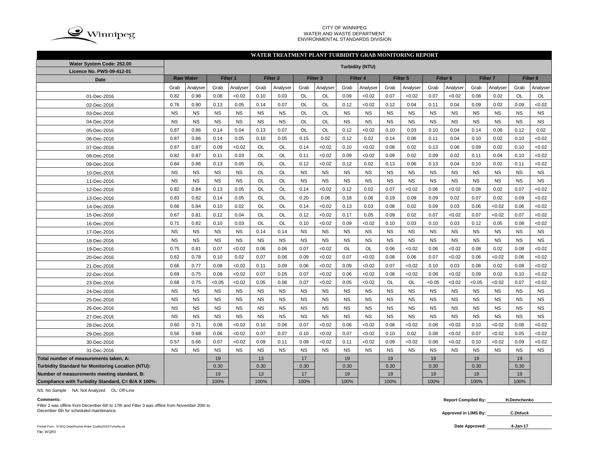

#### CITY OF WINNIPEG WATER AND WASTE DEPARTMENT ENVIRONMENTAL STANDARDS DIVISION

### **WATER TREATMENT PLANT TURBIDITY GRAB MONITORING REPORT**

| Water System Code: 252.00                          |           |                  |           |           |           |                     |           |                     |           | <b>Turbidity (NTU)</b> |           |           |           |                     |           |                     |           |           |
|----------------------------------------------------|-----------|------------------|-----------|-----------|-----------|---------------------|-----------|---------------------|-----------|------------------------|-----------|-----------|-----------|---------------------|-----------|---------------------|-----------|-----------|
| Licence No. PWS-09-412-01                          |           |                  |           |           |           |                     |           |                     |           |                        |           |           |           |                     |           |                     |           |           |
| <b>Date</b>                                        |           | <b>Raw Water</b> |           | Filter 1  |           | Filter <sub>2</sub> |           | Filter <sub>3</sub> |           | Filter 4               |           | Filter 5  |           | Filter <sub>6</sub> |           | Filter <sub>7</sub> |           | Filter 8  |
|                                                    | Grab      | Analyser         | Grab      | Analyser  | Grab      | Analyser            | Grab      | Analyser            | Grab      | Analyser               | Grab      | Analyser  | Grab      | Analyser            | Grab      | Analyser            | Grab      | Analyser  |
| 01-Dec-2016                                        | 0.82      | 0.98             | 0.08      | < 0.02    | 0.10      | 0.03                | <b>OL</b> | <b>OL</b>           | 0.09      | < 0.02                 | 0.07      | < 0.02    | 0.07      | < 0.02              | 0.08      | 0.02                | <b>OL</b> | OL        |
| 02-Dec-2016                                        | 0.76      | 0.90             | 0.13      | 0.05      | 0.14      | 0.07                | <b>OL</b> | <b>OL</b>           | 0.12      | < 0.02                 | 0.12      | 0.04      | 0.11      | 0.04                | 0.09      | 0.02                | 0.09      | <0.02     |
| 03-Dec-2016                                        | <b>NS</b> | <b>NS</b>        | <b>NS</b> | <b>NS</b> | <b>NS</b> | <b>NS</b>           | <b>OL</b> | OL                  | <b>NS</b> | <b>NS</b>              | <b>NS</b> | <b>NS</b> | <b>NS</b> | <b>NS</b>           | <b>NS</b> | <b>NS</b>           | <b>NS</b> | <b>NS</b> |
| 04-Dec-2016                                        | <b>NS</b> | <b>NS</b>        | <b>NS</b> | <b>NS</b> | <b>NS</b> | <b>NS</b>           | OL        | OL                  | <b>NS</b> | <b>NS</b>              | <b>NS</b> | <b>NS</b> | <b>NS</b> | <b>NS</b>           | <b>NS</b> | <b>NS</b>           | <b>NS</b> | <b>NS</b> |
| 05-Dec-2016                                        | 0.87      | 0.86             | 0.14      | 0.04      | 0.13      | 0.07                | <b>OL</b> | <b>OL</b>           | 0.12      | < 0.02                 | 0.10      | 0.03      | 0.10      | 0.04                | 0.14      | 0.06                | 0.12      | 0.02      |
| 06-Dec-2016                                        | 0.87      | 0.86             | 0.14      | 0.05      | 0.10      | 0.05                | 0.15      | 0.02                | 0.12      | 0.02                   | 0.14      | 0.06      | 0.11      | 0.04                | 0.10      | 0.02                | 0.10      | <0.02     |
| 07-Dec-2016                                        | 0.87      | 0.87             | 0.09      | < 0.02    | OL        | OL                  | 0.14      | < 0.02              | 0.10      | < 0.02                 | 0.08      | 0.02      | 0.13      | 0.06                | 0.09      | 0.02                | 0.10      | <0.02     |
| 08-Dec-2016                                        | 0.82      | 0.87             | 0.11      | 0.03      | OL        | OL                  | 0.11      | < 0.02              | 0.09      | < 0.02                 | 0.09      | 0.02      | 0.09      | 0.02                | 0.11      | 0.04                | 0.10      | <0.02     |
| 09-Dec-2016                                        | 0.84      | 0.86             | 0.13      | 0.05      | OL        | OL                  | 0.12      | < 0.02              | 0.12      | 0.02                   | 0.13      | 0.06      | 0.13      | 0.04                | 0.10      | 0.02                | 0.11      | <0.02     |
| 10-Dec-2016                                        | <b>NS</b> | <b>NS</b>        | <b>NS</b> | <b>NS</b> | OL        | OL                  | <b>NS</b> | <b>NS</b>           | <b>NS</b> | <b>NS</b>              | <b>NS</b> | <b>NS</b> | <b>NS</b> | <b>NS</b>           | <b>NS</b> | <b>NS</b>           | NS        | <b>NS</b> |
| 11-Dec-2016                                        | <b>NS</b> | <b>NS</b>        | <b>NS</b> | <b>NS</b> | <b>OL</b> | <b>OL</b>           | <b>NS</b> | <b>NS</b>           | <b>NS</b> | <b>NS</b>              | <b>NS</b> | <b>NS</b> | <b>NS</b> | <b>NS</b>           | <b>NS</b> | <b>NS</b>           | <b>NS</b> | <b>NS</b> |
| 12-Dec-2016                                        | 0.82      | 0.84             | 0.13      | 0.05      | OL        | OL                  | 0.14      | < 0.02              | 0.12      | 0.02                   | 0.07      | < 0.02    | 0.06      | <0.02               | 0.08      | 0.02                | 0.07      | <0.02     |
| 13-Dec-2016                                        | 0.83      | 0.82             | 0.14      | 0.05      | OL        | <b>OL</b>           | 0.20      | 0.06                | 0.18      | 0.06                   | 0.19      | 0.09      | 0.09      | 0.02                | 0.07      | 0.02                | 0.09      | <0.02     |
| 14-Dec-2016                                        | 0.66      | 0.84             | 0.10      | 0.02      | OL        | OL                  | 0.14      | < 0.02              | 0.13      | 0.03                   | 0.08      | 0.02      | 0.09      | 0.03                | 0.06      | <0.02               | 0.06      | <0.02     |
| 15-Dec-2016                                        | 0.67      | 0.81             | 0.12      | 0.04      | OL        | OL                  | 0.12      | < 0.02              | 0.17      | 0.05                   | 0.09      | 0.02      | 0.07      | <0.02               | 0.07      | <0.02               | 0.07      | <0.02     |
| 16-Dec-2016                                        | 0.71      | 0.82             | 0.10      | 0.03      | OL        | OL                  | 0.10      | < 0.02              | 0.09      | < 0.02                 | 0.10      | 0.03      | 0.10      | 0.03                | 0.12      | 0.05                | 0.08      | <0.02     |
| 17-Dec-2016                                        | <b>NS</b> | <b>NS</b>        | <b>NS</b> | <b>NS</b> | 0.14      | 0.14                | <b>NS</b> | <b>NS</b>           | <b>NS</b> | <b>NS</b>              | <b>NS</b> | <b>NS</b> | <b>NS</b> | <b>NS</b>           | <b>NS</b> | <b>NS</b>           | <b>NS</b> | <b>NS</b> |
| 18-Dec-2016                                        | <b>NS</b> | <b>NS</b>        | <b>NS</b> | <b>NS</b> | <b>NS</b> | <b>NS</b>           | <b>NS</b> | <b>NS</b>           | <b>NS</b> | <b>NS</b>              | <b>NS</b> | <b>NS</b> | <b>NS</b> | <b>NS</b>           | <b>NS</b> | <b>NS</b>           | <b>NS</b> | <b>NS</b> |
| 19-Dec-2016                                        | 0.75      | 0.81             | 0.07      | < 0.02    | 0.06      | 0.06                | 0.07      | < 0.02              | OL        | OL                     | 0.06      | < 0.02    | 0.06      | < 0.02              | 0.08      | 0.02                | 0.08      | < 0.02    |
| 20-Dec-2016                                        | 0.62      | 0.78             | 0.10      | 0.02      | 0.07      | 0.06                | 0.09      | < 0.02              | 0.07      | < 0.02                 | 0.08      | 0.06      | 0.07      | <0.02               | 0.06      | <0.02               | 0.06      | <0.02     |
| 21-Dec-2016                                        | 0.66      | 0.77             | 0.08      | < 0.02    | 0.11      | 0.09                | 0.06      | < 0.02              | 0.09      | < 0.02                 | 0.07      | < 0.02    | 0.10      | 0.03                | 0.08      | 0.02                | 0.08      | <0.02     |
| 22-Dec-2016                                        | 0.69      | 0.75             | 0.08      | < 0.02    | 0.07      | 0.05                | 0.07      | < 0.02              | 0.06      | < 0.02                 | 0.08      | < 0.02    | 0.08      | <0.02               | 0.09      | 0.02                | 0.10      | <0.02     |
| 23-Dec-2016                                        | 0.68      | 0.75             | < 0.05    | < 0.02    | 0.05      | 0.06                | 0.07      | < 0.02              | 0.05      | < 0.02                 | <b>OL</b> | OL        | < 0.05    | <0.02               | < 0.05    | <0.02               | 0.07      | <0.02     |
| 24-Dec-2016                                        | <b>NS</b> | <b>NS</b>        | <b>NS</b> | <b>NS</b> | <b>NS</b> | <b>NS</b>           | <b>NS</b> | <b>NS</b>           | <b>NS</b> | <b>NS</b>              | <b>NS</b> | <b>NS</b> | <b>NS</b> | <b>NS</b>           | <b>NS</b> | <b>NS</b>           | <b>NS</b> | <b>NS</b> |
| 25-Dec-2016                                        | <b>NS</b> | <b>NS</b>        | <b>NS</b> | <b>NS</b> | <b>NS</b> | <b>NS</b>           | <b>NS</b> | <b>NS</b>           | <b>NS</b> | <b>NS</b>              | <b>NS</b> | <b>NS</b> | <b>NS</b> | <b>NS</b>           | <b>NS</b> | <b>NS</b>           | <b>NS</b> | <b>NS</b> |
| 26-Dec-2016                                        | <b>NS</b> | <b>NS</b>        | <b>NS</b> | <b>NS</b> | <b>NS</b> | <b>NS</b>           | <b>NS</b> | <b>NS</b>           | <b>NS</b> | <b>NS</b>              | <b>NS</b> | <b>NS</b> | <b>NS</b> | <b>NS</b>           | <b>NS</b> | <b>NS</b>           | <b>NS</b> | <b>NS</b> |
| 27-Dec-2016                                        | <b>NS</b> | <b>NS</b>        | <b>NS</b> | <b>NS</b> | <b>NS</b> | <b>NS</b>           | <b>NS</b> | <b>NS</b>           | <b>NS</b> | <b>NS</b>              | <b>NS</b> | <b>NS</b> | <b>NS</b> | <b>NS</b>           | <b>NS</b> | <b>NS</b>           | <b>NS</b> | <b>NS</b> |
| 28-Dec-2016                                        | 0.60      | 0.71             | 0.08      | < 0.02    | 0.10      | 0.06                | 0.07      | < 0.02              | 0.06      | < 0.02                 | 0.08      | < 0.02    | 0.08      | <0.02               | 0.10      | <0.02               | 0.08      | <0.02     |
| 29-Dec-2016                                        | 0.56      | 0.68             | 0.06      | < 0.02    | 0.07      | 0.07                | 0.10      | < 0.02              | 0.07      | < 0.02                 | 0.10      | 0.02      | 0.08      | <0.02               | 0.07      | <0.02               | 0.05      | <0.02     |
| 30-Dec-2016                                        | 0.57      | 0.66             | 0.07      | < 0.02    | 0.09      | 0.11                | 0.09      | < 0.02              | 0.11      | < 0.02                 | 0.09      | < 0.02    | 0.08      | <0.02               | 0.10      | <0.02               | 0.09      | <0.02     |
| 31-Dec-2016                                        | <b>NS</b> | <b>NS</b>        | <b>NS</b> | <b>NS</b> | <b>NS</b> | <b>NS</b>           | <b>NS</b> | <b>NS</b>           | <b>NS</b> | <b>NS</b>              | <b>NS</b> | <b>NS</b> | <b>NS</b> | <b>NS</b>           | <b>NS</b> | <b>NS</b>           | <b>NS</b> | <b>NS</b> |
| Total number of measurements taken, A:             |           |                  | 19        |           | 13        |                     | 17        |                     | 19        |                        | 19        |           | 19        |                     | 19        |                     | 19        |           |
| Turbidity Standard for Monitoring Location (NTU):  |           |                  | 0.30      |           | 0.30      |                     | 0.30      |                     | 0.30      |                        | 0.30      |           | 0.30      |                     | 0.30      |                     | 0.30      |           |
| Number of measurements meeting standard, B:        |           |                  | 19        |           | 13        |                     | 17        |                     | 19        |                        | 19        |           | 19        |                     | 19        |                     | 19        |           |
| Compliance with Turbidity Standard, C= B/A X 100%: |           |                  | 100%      |           | 100%      |                     | 100%      |                     | 100%      |                        | 100%      |           | 100%      |                     | 100%      |                     | 100%      |           |

NS: No Sample NA: Not Analyzed OL: Off-Line

Filter 2 was offline from December 6th to 17th and Filter 3 was offline from November 20th to December 6th for scheduled maintenance. **C.Diduck C.Diduck C.Diduck C.Diduck C.Diduck C.Diduck C.Diduck** 

**Comments: Report Compiled By: H.Demchenko**

**Approved in LIMS By:**

Printed From : N:\WQ Data\Routine Water Quality\2015\Turbidity.xls **Date Approved:** File: WQR3

**4-Jan-17**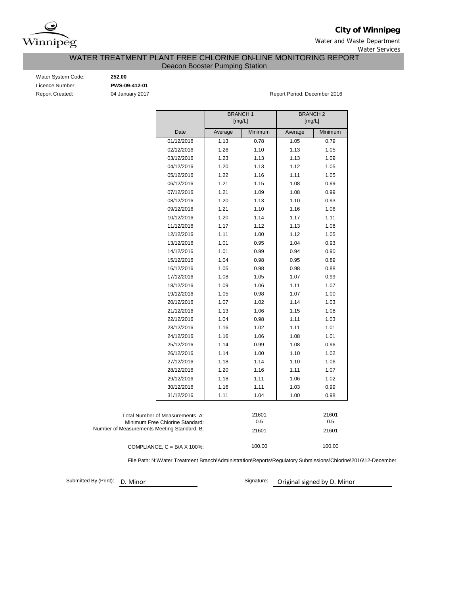

**City of Winnipeg**

Water and Waste Department Water Services

## WATER TREATMENT PLANT FREE CHLORINE ON-LINE MONITORING REPORT Deacon Booster Pumping Station

Water System Code: **252.00** Licence Number: **PWS-09-412-01**

Report Created: 04 January 2017 1990 1991 1991 1991 1991 1992 1994 1996 1997 1998 1999 1999 1999 1999 1999 199

|                                             |                                      | <b>BRANCH1</b> |         | <b>BRANCH2</b> |         |
|---------------------------------------------|--------------------------------------|----------------|---------|----------------|---------|
|                                             |                                      | [mg/L]         |         | [mg/L]         |         |
|                                             | Date                                 | Average        | Minimum | Average        | Minimum |
|                                             | 01/12/2016                           | 1.13           | 0.78    | 1.05           | 0.79    |
|                                             | 02/12/2016                           | 1.26           | 1.10    | 1.13           | 1.05    |
|                                             | 03/12/2016                           | 1.23           | 1.13    | 1.13           | 1.09    |
|                                             | 04/12/2016                           | 1.20           | 1.13    | 1.12           | 1.05    |
|                                             | 05/12/2016                           | 1.22           | 1.16    | 1.11           | 1.05    |
|                                             | 06/12/2016                           | 1.21           | 1.15    | 1.08           | 0.99    |
|                                             | 07/12/2016                           | 1.21           | 1.09    | 1.08           | 0.99    |
|                                             | 08/12/2016                           | 1.20           | 1.13    | 1.10           | 0.93    |
|                                             | 09/12/2016                           | 1.21           | 1.10    | 1.16           | 1.06    |
|                                             | 10/12/2016                           | 1.20           | 1.14    | 1.17           | 1.11    |
|                                             | 11/12/2016                           | 1.17           | 1.12    | 1.13           | 1.08    |
|                                             | 12/12/2016                           | 1.11           | 1.00    | 1.12           | 1.05    |
|                                             | 13/12/2016                           | 1.01           | 0.95    | 1.04           | 0.93    |
|                                             | 14/12/2016                           | 1.01           | 0.99    | 0.94           | 0.90    |
|                                             | 15/12/2016                           | 1.04           | 0.98    | 0.95           | 0.89    |
|                                             | 16/12/2016                           | 1.05           | 0.98    | 0.98           | 0.88    |
|                                             | 17/12/2016                           | 1.08           | 1.05    | 1.07           | 0.99    |
|                                             | 18/12/2016                           | 1.09           | 1.06    | 1.11           | 1.07    |
|                                             | 19/12/2016                           | 1.05           | 0.98    | 1.07           | 1.00    |
|                                             | 20/12/2016                           | 1.07           | 1.02    | 1.14           | 1.03    |
|                                             | 21/12/2016                           | 1.13           | 1.06    | 1.15           | 1.08    |
|                                             | 22/12/2016                           | 1.04           | 0.98    | 1.11           | 1.03    |
|                                             | 23/12/2016                           | 1.16           | 1.02    | 1.11           | 1.01    |
|                                             | 24/12/2016                           | 1.16           | 1.06    | 1.08           | 1.01    |
|                                             | 25/12/2016                           | 1.14           | 0.99    | 1.08           | 0.96    |
|                                             | 26/12/2016                           | 1.14           | 1.00    | 1.10           | 1.02    |
|                                             | 27/12/2016                           | 1.18           | 1.14    | 1.10           | 1.06    |
|                                             | 28/12/2016                           | 1.20           | 1.16    | 1.11           | 1.07    |
|                                             | 29/12/2016                           | 1.18           | 1.11    | 1.06           | 1.02    |
|                                             | 30/12/2016                           | 1.16           | 1.11    | 1.03           | 0.99    |
|                                             | 31/12/2016                           | 1.11           | 1.04    | 1.00           | 0.98    |
|                                             |                                      |                |         |                |         |
|                                             | Total Number of Measurements, A:     |                | 21601   |                | 21601   |
|                                             | Minimum Free Chlorine Standard:      |                | 0.5     |                | 0.5     |
| Number of Measurements Meeting Standard, B: |                                      |                | 21601   |                | 21601   |
|                                             | COMPLIANCE, $C = B/A \times 100\%$ : |                | 100.00  |                | 100.00  |

File Path: N:\Water Treatment Branch\Administration\Reports\Regulatory Submissions\Chlorine\2016\12-December

Submitted By (Print): D. Minor

Signature: Original signed by D. Minor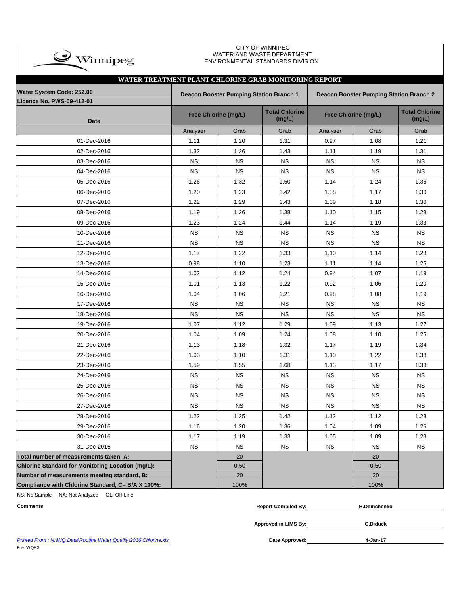| $\rightarrow$ Winnipeg                                 |           |                                         | <b>CITY OF WINNIPEG</b><br>WATER AND WASTE DEPARTMENT<br>ENVIRONMENTAL STANDARDS DIVISION |           |                                         |                                 |
|--------------------------------------------------------|-----------|-----------------------------------------|-------------------------------------------------------------------------------------------|-----------|-----------------------------------------|---------------------------------|
| WATER TREATMENT PLANT CHLORINE GRAB MONITORING REPORT  |           |                                         |                                                                                           |           |                                         |                                 |
| Water System Code: 252.00<br>Licence No. PWS-09-412-01 |           | Deacon Booster Pumping Station Branch 1 |                                                                                           |           | Deacon Booster Pumping Station Branch 2 |                                 |
| <b>Date</b>                                            |           | Free Chlorine (mg/L)                    | <b>Total Chlorine</b><br>(mg/L)                                                           |           | Free Chlorine (mg/L)                    | <b>Total Chlorine</b><br>(mg/L) |
|                                                        | Analyser  | Grab                                    | Grab                                                                                      | Analyser  | Grab                                    | Grab                            |
| 01-Dec-2016                                            | 1.11      | 1.20                                    | 1.31                                                                                      | 0.97      | 1.08                                    | 1.21                            |
| 02-Dec-2016                                            | 1.32      | 1.26                                    | 1.43                                                                                      | 1.11      | 1.19                                    | 1.31                            |
| 03-Dec-2016                                            | <b>NS</b> | <b>NS</b>                               | <b>NS</b>                                                                                 | <b>NS</b> | <b>NS</b>                               | <b>NS</b>                       |
| 04-Dec-2016                                            | <b>NS</b> | <b>NS</b>                               | <b>NS</b>                                                                                 | <b>NS</b> | <b>NS</b>                               | <b>NS</b>                       |
| 05-Dec-2016                                            | 1.26      | 1.32                                    | 1.50                                                                                      | 1.14      | 1.24                                    | 1.36                            |
| 06-Dec-2016                                            | 1.20      | 1.23                                    | 1.42                                                                                      | 1.08      | 1.17                                    | 1.30                            |
| 07-Dec-2016                                            | 1.22      | 1.29                                    | 1.43                                                                                      | 1.09      | 1.18                                    | 1.30                            |
| 08-Dec-2016                                            | 1.19      | 1.26                                    | 1.38                                                                                      | 1.10      | 1.15                                    | 1.28                            |
| 09-Dec-2016                                            | 1.23      | 1.24                                    | 1.44                                                                                      | 1.14      | 1.19                                    | 1.33                            |
| 10-Dec-2016                                            | <b>NS</b> | <b>NS</b>                               | <b>NS</b>                                                                                 | <b>NS</b> | <b>NS</b>                               | <b>NS</b>                       |
| 11-Dec-2016                                            | <b>NS</b> | <b>NS</b>                               | <b>NS</b>                                                                                 | <b>NS</b> | <b>NS</b>                               | <b>NS</b>                       |
| 12-Dec-2016                                            | 1.17      | 1.22                                    | 1.33                                                                                      | 1.10      | 1.14                                    | 1.28                            |
| 13-Dec-2016                                            | 0.98      | 1.10                                    | 1.23                                                                                      | 1.11      | 1.14                                    | 1.25                            |
| 14-Dec-2016                                            | 1.02      | 1.12                                    | 1.24                                                                                      | 0.94      | 1.07                                    | 1.19                            |
| 15-Dec-2016                                            | 1.01      | 1.13                                    | 1.22                                                                                      | 0.92      | 1.06                                    | 1.20                            |
| 16-Dec-2016                                            | 1.04      | 1.06                                    | 1.21                                                                                      | 0.98      | 1.08                                    | 1.19                            |
| 17-Dec-2016                                            | <b>NS</b> | <b>NS</b>                               | <b>NS</b>                                                                                 | <b>NS</b> | <b>NS</b>                               | <b>NS</b>                       |
| 18-Dec-2016                                            | <b>NS</b> | <b>NS</b>                               | <b>NS</b>                                                                                 | <b>NS</b> | <b>NS</b>                               | <b>NS</b>                       |
| 19-Dec-2016                                            | 1.07      | 1.12                                    | 1.29                                                                                      | 1.09      | 1.13                                    | 1.27                            |
| 20-Dec-2016                                            | 1.04      | 1.09                                    | 1.24                                                                                      | 1.08      | 1.10                                    | 1.25                            |
| 21-Dec-2016                                            | 1.13      | 1.18                                    | 1.32                                                                                      | 1.17      | 1.19                                    | 1.34                            |
| 22-Dec-2016                                            | 1.03      | 1.10                                    | 1.31                                                                                      | 1.10      | 1.22                                    | 1.38                            |
| 23-Dec-2016                                            | 1.59      | 1.55                                    | 1.68                                                                                      | 1.13      | 1.17                                    | 1.33                            |
| 24-Dec-2016                                            | <b>NS</b> | <b>NS</b>                               | <b>NS</b>                                                                                 | <b>NS</b> | <b>NS</b>                               | <b>NS</b>                       |
| 25-Dec-2016                                            | <b>NS</b> | <b>NS</b>                               | <b>NS</b>                                                                                 | <b>NS</b> | <b>NS</b>                               | <b>NS</b>                       |
| 26-Dec-2016                                            | <b>NS</b> | <b>NS</b>                               | <b>NS</b>                                                                                 | <b>NS</b> | <b>NS</b>                               | <b>NS</b>                       |
| 27-Dec-2016                                            | <b>NS</b> | <b>NS</b>                               | <b>NS</b>                                                                                 | <b>NS</b> | <b>NS</b>                               | <b>NS</b>                       |
| 28-Dec-2016                                            | 1.22      | 1.25                                    | 1.42                                                                                      | 1.12      | 1.12                                    | 1.28                            |
| 29-Dec-2016                                            | 1.16      | 1.20                                    | 1.36                                                                                      | 1.04      | 1.09                                    | 1.26                            |
| 30-Dec-2016                                            | 1.17      | 1.19                                    | 1.33                                                                                      | 1.05      | 1.09                                    | 1.23                            |
| 31-Dec-2016                                            | <b>NS</b> | <b>NS</b>                               | <b>NS</b>                                                                                 | <b>NS</b> | <b>NS</b>                               | <b>NS</b>                       |
| Total number of measurements taken, A:                 |           | 20                                      |                                                                                           |           | 20                                      |                                 |
| Chlorine Standard for Monitoring Location (mg/L):      |           | 0.50                                    |                                                                                           |           | 0.50                                    |                                 |
| Number of measurements meeting standard, B:            |           | 20                                      |                                                                                           |           | 20                                      |                                 |
| Compliance with Chlorine Standard, C= B/A X 100%:      |           | 100%                                    |                                                                                           |           | 100%                                    |                                 |

NS: No Sample NA: Not Analyzed OL: Off-Line

| <b>Comments:</b> | <b>Report Compiled By:</b> | <b>H.Demchenko</b> |
|------------------|----------------------------|--------------------|
|                  |                            |                    |
|                  | Approved in LIMS By:       | <b>C.Diduck</b>    |

**Printed From : N:\WQ Data\Routine Water Quality\2016\Chlorine.xls** File: WQR3

**4-Jan-17**